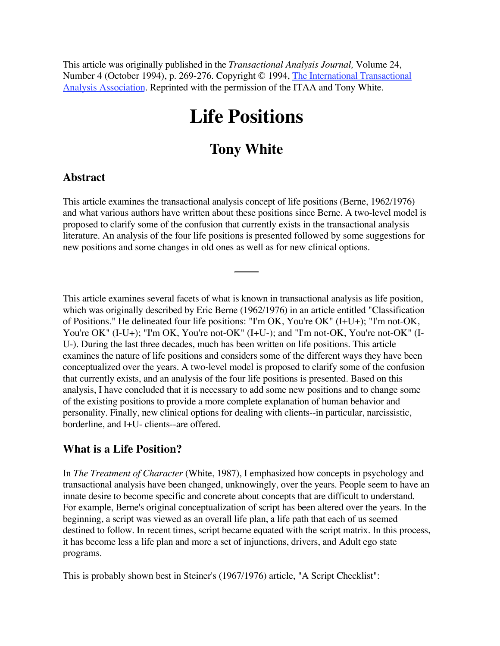This article was originally published in the *Transactional Analysis Journal,* Volume 24, Number 4 (October 1994), p. 269-276. Copyright © 1994, The International Transactional Analysis Association. Reprinted with the permission of the ITAA and Tony White.

# **Life Positions**

## **Tony White**

#### **Abstract**

This article examines the transactional analysis concept of life positions (Berne, 1962/1976) and what various authors have written about these positions since Berne. A two-level model is proposed to clarify some of the confusion that currently exists in the transactional analysis literature. An analysis of the four life positions is presented followed by some suggestions for new positions and some changes in old ones as well as for new clinical options.

This article examines several facets of what is known in transactional analysis as life position, which was originally described by Eric Berne (1962/1976) in an article entitled "Classification of Positions." He delineated four life positions: "I'm OK, You're OK" (I+U+); "I'm not-OK, You're OK" (I-U+); "I'm OK, You're not-OK" (I+U-); and "I'm not-OK, You're not-OK" (I-U-). During the last three decades, much has been written on life positions. This article examines the nature of life positions and considers some of the different ways they have been conceptualized over the years. A two-level model is proposed to clarify some of the confusion that currently exists, and an analysis of the four life positions is presented. Based on this analysis, I have concluded that it is necessary to add some new positions and to change some of the existing positions to provide a more complete explanation of human behavior and personality. Finally, new clinical options for dealing with clients--in particular, narcissistic, borderline, and I+U- clients--are offered.

#### **What is a Life Position?**

In *The Treatment of Character* (White, 1987), I emphasized how concepts in psychology and transactional analysis have been changed, unknowingly, over the years. People seem to have an innate desire to become specific and concrete about concepts that are difficult to understand. For example, Berne's original conceptualization of script has been altered over the years. In the beginning, a script was viewed as an overall life plan, a life path that each of us seemed destined to follow. In recent times, script became equated with the script matrix. In this process, it has become less a life plan and more a set of injunctions, drivers, and Adult ego state programs.

This is probably shown best in Steiner's (1967/1976) article, "A Script Checklist":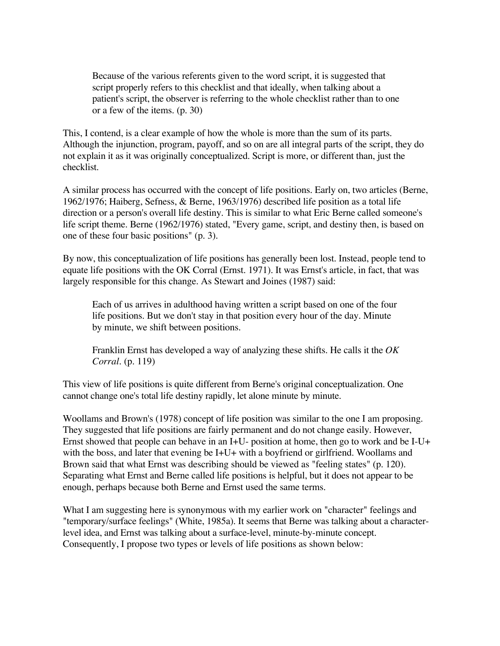Because of the various referents given to the word script, it is suggested that script properly refers to this checklist and that ideally, when talking about a patient's script, the observer is referring to the whole checklist rather than to one or a few of the items. (p. 30)

This, I contend, is a clear example of how the whole is more than the sum of its parts. Although the injunction, program, payoff, and so on are all integral parts of the script, they do not explain it as it was originally conceptualized. Script is more, or different than, just the checklist.

A similar process has occurred with the concept of life positions. Early on, two articles (Berne, 1962/1976; Haiberg, Sefness, & Berne, 1963/1976) described life position as a total life direction or a person's overall life destiny. This is similar to what Eric Berne called someone's life script theme. Berne (1962/1976) stated, "Every game, script, and destiny then, is based on one of these four basic positions" (p. 3).

By now, this conceptualization of life positions has generally been lost. Instead, people tend to equate life positions with the OK Corral (Ernst. 1971). It was Ernst's article, in fact, that was largely responsible for this change. As Stewart and Joines (1987) said:

Each of us arrives in adulthood having written a script based on one of the four life positions. But we don't stay in that position every hour of the day. Minute by minute, we shift between positions.

Franklin Ernst has developed a way of analyzing these shifts. He calls it the *OK Corral.* (p. 119)

This view of life positions is quite different from Berne's original conceptualization. One cannot change one's total life destiny rapidly, let alone minute by minute.

Woollams and Brown's (1978) concept of life position was similar to the one I am proposing. They suggested that life positions are fairly permanent and do not change easily. However, Ernst showed that people can behave in an I+U- position at home, then go to work and be I-U+ with the boss, and later that evening be I+U+ with a boyfriend or girlfriend. Woollams and Brown said that what Ernst was describing should be viewed as "feeling states" (p. 120). Separating what Ernst and Berne called life positions is helpful, but it does not appear to be enough, perhaps because both Berne and Ernst used the same terms.

What I am suggesting here is synonymous with my earlier work on "character" feelings and "temporary/surface feelings" (White, 1985a). It seems that Berne was talking about a characterlevel idea, and Ernst was talking about a surface-level, minute-by-minute concept. Consequently, I propose two types or levels of life positions as shown below: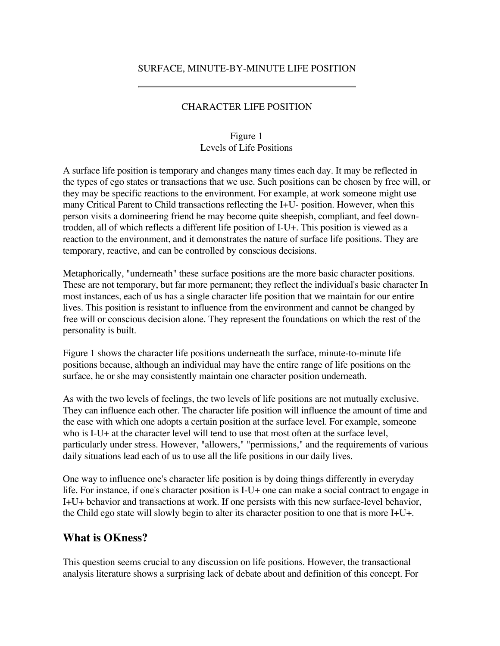#### SURFACE, MINUTE-BY-MINUTE LIFE POSITION

#### CHARACTER LIFE POSITION

#### Figure 1 Levels of Life Positions

A surface life position is temporary and changes many times each day. It may be reflected in the types of ego states or transactions that we use. Such positions can be chosen by free will, or they may be specific reactions to the environment. For example, at work someone might use many Critical Parent to Child transactions reflecting the I+U- position. However, when this person visits a domineering friend he may become quite sheepish, compliant, and feel downtrodden, all of which reflects a different life position of I-U+. This position is viewed as a reaction to the environment, and it demonstrates the nature of surface life positions. They are temporary, reactive, and can be controlled by conscious decisions.

Metaphorically, "underneath" these surface positions are the more basic character positions. These are not temporary, but far more permanent; they reflect the individual's basic character In most instances, each of us has a single character life position that we maintain for our entire lives. This position is resistant to influence from the environment and cannot be changed by free will or conscious decision alone. They represent the foundations on which the rest of the personality is built.

Figure 1 shows the character life positions underneath the surface, minute-to-minute life positions because, although an individual may have the entire range of life positions on the surface, he or she may consistently maintain one character position underneath.

As with the two levels of feelings, the two levels of life positions are not mutually exclusive. They can influence each other. The character life position will influence the amount of time and the ease with which one adopts a certain position at the surface level. For example, someone who is I-U+ at the character level will tend to use that most often at the surface level. particularly under stress. However, "allowers," "permissions," and the requirements of various daily situations lead each of us to use all the life positions in our daily lives.

One way to influence one's character life position is by doing things differently in everyday life. For instance, if one's character position is I-U+ one can make a social contract to engage in I+U+ behavior and transactions at work. If one persists with this new surface-level behavior, the Child ego state will slowly begin to alter its character position to one that is more I+U+.

## **What is OKness?**

This question seems crucial to any discussion on life positions. However, the transactional analysis literature shows a surprising lack of debate about and definition of this concept. For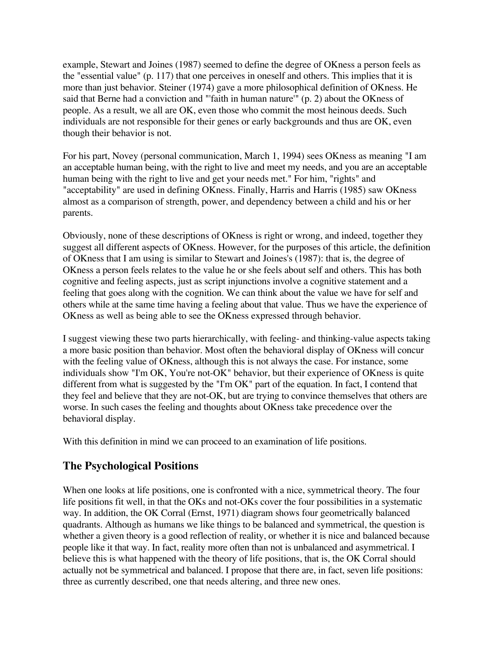example, Stewart and Joines (1987) seemed to define the degree of OKness a person feels as the "essential value" (p. 117) that one perceives in oneself and others. This implies that it is more than just behavior. Steiner (1974) gave a more philosophical definition of OKness. He said that Berne had a conviction and "'faith in human nature'" (p. 2) about the OKness of people. As a result, we all are OK, even those who commit the most heinous deeds. Such individuals are not responsible for their genes or early backgrounds and thus are OK, even though their behavior is not.

For his part, Novey (personal communication, March 1, 1994) sees OKness as meaning "I am an acceptable human being, with the right to live and meet my needs, and you are an acceptable human being with the right to live and get your needs met." For him, "rights" and "acceptability" are used in defining OKness. Finally, Harris and Harris (1985) saw OKness almost as a comparison of strength, power, and dependency between a child and his or her parents.

Obviously, none of these descriptions of OKness is right or wrong, and indeed, together they suggest all different aspects of OKness. However, for the purposes of this article, the definition of OKness that I am using is similar to Stewart and Joines's (1987): that is, the degree of OKness a person feels relates to the value he or she feels about self and others. This has both cognitive and feeling aspects, just as script injunctions involve a cognitive statement and a feeling that goes along with the cognition. We can think about the value we have for self and others while at the same time having a feeling about that value. Thus we have the experience of OKness as well as being able to see the OKness expressed through behavior.

I suggest viewing these two parts hierarchically, with feeling- and thinking-value aspects taking a more basic position than behavior. Most often the behavioral display of OKness will concur with the feeling value of OKness, although this is not always the case. For instance, some individuals show "I'm OK, You're not-OK" behavior, but their experience of OKness is quite different from what is suggested by the "I'm OK" part of the equation. In fact, I contend that they feel and believe that they are not-OK, but are trying to convince themselves that others are worse. In such cases the feeling and thoughts about OKness take precedence over the behavioral display.

With this definition in mind we can proceed to an examination of life positions.

## **The Psychological Positions**

When one looks at life positions, one is confronted with a nice, symmetrical theory. The four life positions fit well, in that the OKs and not-OKs cover the four possibilities in a systematic way. In addition, the OK Corral (Ernst, 1971) diagram shows four geometrically balanced quadrants. Although as humans we like things to be balanced and symmetrical, the question is whether a given theory is a good reflection of reality, or whether it is nice and balanced because people like it that way. In fact, reality more often than not is unbalanced and asymmetrical. I believe this is what happened with the theory of life positions, that is, the OK Corral should actually not be symmetrical and balanced. I propose that there are, in fact, seven life positions: three as currently described, one that needs altering, and three new ones.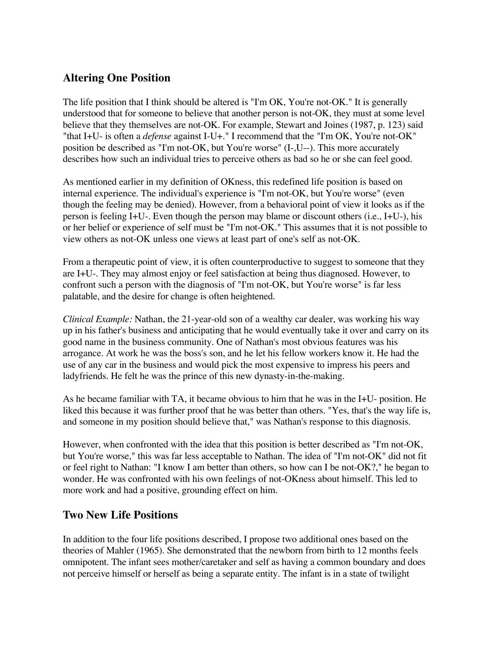## **Altering One Position**

The life position that I think should be altered is "I'm OK, You're not-OK." It is generally understood that for someone to believe that another person is not-OK, they must at some level believe that they themselves are not-OK. For example, Stewart and Joines (1987, p. 123) said "that I+U- is often a *defense* against I-U+." I recommend that the "I'm OK, You're not-OK" position be described as "I'm not-OK, but You're worse" (I-,U--). This more accurately describes how such an individual tries to perceive others as bad so he or she can feel good.

As mentioned earlier in my definition of OKness, this redefined life position is based on internal experience. The individual's experience is "I'm not-OK, but You're worse" (even though the feeling may be denied). However, from a behavioral point of view it looks as if the person is feeling I+U-. Even though the person may blame or discount others (i.e., I+U-), his or her belief or experience of self must be "I'm not-OK." This assumes that it is not possible to view others as not-OK unless one views at least part of one's self as not-OK.

From a therapeutic point of view, it is often counterproductive to suggest to someone that they are I+U-. They may almost enjoy or feel satisfaction at being thus diagnosed. However, to confront such a person with the diagnosis of "I'm not-OK, but You're worse" is far less palatable, and the desire for change is often heightened.

*Clinical Example:* Nathan, the 21-year-old son of a wealthy car dealer, was working his way up in his father's business and anticipating that he would eventually take it over and carry on its good name in the business community. One of Nathan's most obvious features was his arrogance. At work he was the boss's son, and he let his fellow workers know it. He had the use of any car in the business and would pick the most expensive to impress his peers and ladyfriends. He felt he was the prince of this new dynasty-in-the-making.

As he became familiar with TA, it became obvious to him that he was in the I+U- position. He liked this because it was further proof that he was better than others. "Yes, that's the way life is, and someone in my position should believe that," was Nathan's response to this diagnosis.

However, when confronted with the idea that this position is better described as "I'm not-OK, but You're worse," this was far less acceptable to Nathan. The idea of "I'm not-OK" did not fit or feel right to Nathan: "I know I am better than others, so how can I be not-OK?," he began to wonder. He was confronted with his own feelings of not-OKness about himself. This led to more work and had a positive, grounding effect on him.

## **Two New Life Positions**

In addition to the four life positions described, I propose two additional ones based on the theories of Mahler (1965). She demonstrated that the newborn from birth to 12 months feels omnipotent. The infant sees mother/caretaker and self as having a common boundary and does not perceive himself or herself as being a separate entity. The infant is in a state of twilight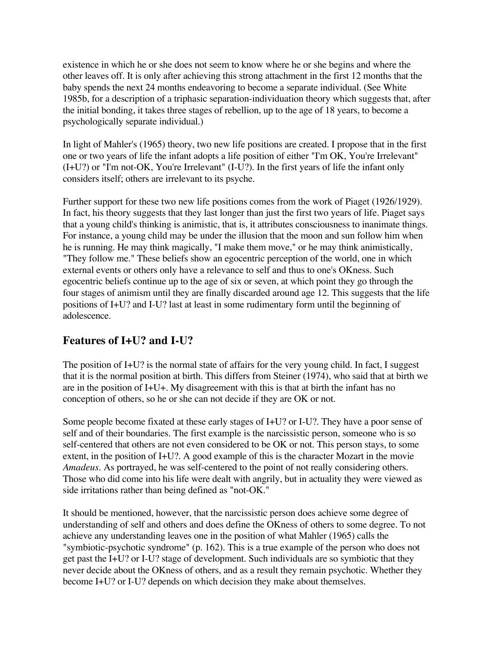existence in which he or she does not seem to know where he or she begins and where the other leaves off. It is only after achieving this strong attachment in the first 12 months that the baby spends the next 24 months endeavoring to become a separate individual. (See White 1985b, for a description of a triphasic separation-individuation theory which suggests that, after the initial bonding, it takes three stages of rebellion, up to the age of 18 years, to become a psychologically separate individual.)

In light of Mahler's (1965) theory, two new life positions are created. I propose that in the first one or two years of life the infant adopts a life position of either "I'm OK, You're Irrelevant" (I+U?) or "I'm not-OK, You're Irrelevant" (I-U?). In the first years of life the infant only considers itself; others are irrelevant to its psyche.

Further support for these two new life positions comes from the work of Piaget (1926/1929). In fact, his theory suggests that they last longer than just the first two years of life. Piaget says that a young child's thinking is animistic, that is, it attributes consciousness to inanimate things. For instance, a young child may be under the illusion that the moon and sun follow him when he is running. He may think magically, "I make them move," or he may think animistically, "They follow me." These beliefs show an egocentric perception of the world, one in which external events or others only have a relevance to self and thus to one's OKness. Such egocentric beliefs continue up to the age of six or seven, at which point they go through the four stages of animism until they are finally discarded around age 12. This suggests that the life positions of I+U? and I-U? last at least in some rudimentary form until the beginning of adolescence.

## **Features of I+U? and I-U?**

The position of I+U? is the normal state of affairs for the very young child. In fact, I suggest that it is the normal position at birth. This differs from Steiner (1974), who said that at birth we are in the position of I+U+. My disagreement with this is that at birth the infant has no conception of others, so he or she can not decide if they are OK or not.

Some people become fixated at these early stages of I+U? or I-U?. They have a poor sense of self and of their boundaries. The first example is the narcissistic person, someone who is so self-centered that others are not even considered to be OK or not. This person stays, to some extent, in the position of I+U?. A good example of this is the character Mozart in the movie *Amadeus.* As portrayed, he was self-centered to the point of not really considering others. Those who did come into his life were dealt with angrily, but in actuality they were viewed as side irritations rather than being defined as "not-OK."

It should be mentioned, however, that the narcissistic person does achieve some degree of understanding of self and others and does define the OKness of others to some degree. To not achieve any understanding leaves one in the position of what Mahler (1965) calls the "symbiotic-psychotic syndrome" (p. 162). This is a true example of the person who does not get past the I+U? or I-U? stage of development. Such individuals are so symbiotic that they never decide about the OKness of others, and as a result they remain psychotic. Whether they become I+U? or I-U? depends on which decision they make about themselves.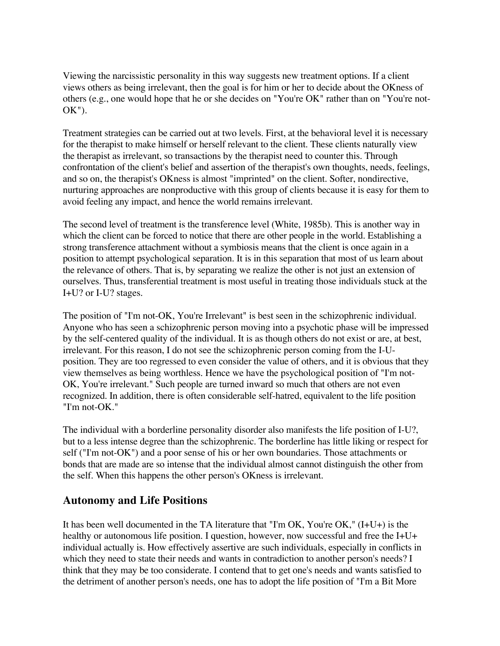Viewing the narcissistic personality in this way suggests new treatment options. If a client views others as being irrelevant, then the goal is for him or her to decide about the OKness of others (e.g., one would hope that he or she decides on "You're OK" rather than on "You're not-OK").

Treatment strategies can be carried out at two levels. First, at the behavioral level it is necessary for the therapist to make himself or herself relevant to the client. These clients naturally view the therapist as irrelevant, so transactions by the therapist need to counter this. Through confrontation of the client's belief and assertion of the therapist's own thoughts, needs, feelings, and so on, the therapist's OKness is almost "imprinted" on the client. Softer, nondirective, nurturing approaches are nonproductive with this group of clients because it is easy for them to avoid feeling any impact, and hence the world remains irrelevant.

The second level of treatment is the transference level (White, 1985b). This is another way in which the client can be forced to notice that there are other people in the world. Establishing a strong transference attachment without a symbiosis means that the client is once again in a position to attempt psychological separation. It is in this separation that most of us learn about the relevance of others. That is, by separating we realize the other is not just an extension of ourselves. Thus, transferential treatment is most useful in treating those individuals stuck at the I+U? or I-U? stages.

The position of "I'm not-OK, You're Irrelevant" is best seen in the schizophrenic individual. Anyone who has seen a schizophrenic person moving into a psychotic phase will be impressed by the self-centered quality of the individual. It is as though others do not exist or are, at best, irrelevant. For this reason, I do not see the schizophrenic person coming from the I-Uposition. They are too regressed to even consider the value of others, and it is obvious that they view themselves as being worthless. Hence we have the psychological position of "I'm not-OK, You're irrelevant." Such people are turned inward so much that others are not even recognized. In addition, there is often considerable self-hatred, equivalent to the life position "I'm not-OK."

The individual with a borderline personality disorder also manifests the life position of I-U?, but to a less intense degree than the schizophrenic. The borderline has little liking or respect for self ("I'm not-OK") and a poor sense of his or her own boundaries. Those attachments or bonds that are made are so intense that the individual almost cannot distinguish the other from the self. When this happens the other person's OKness is irrelevant.

## **Autonomy and Life Positions**

It has been well documented in the TA literature that "I'm OK, You're OK," (I+U+) is the healthy or autonomous life position. I question, however, now successful and free the I+U+ individual actually is. How effectively assertive are such individuals, especially in conflicts in which they need to state their needs and wants in contradiction to another person's needs? I think that they may be too considerate. I contend that to get one's needs and wants satisfied to the detriment of another person's needs, one has to adopt the life position of "I'm a Bit More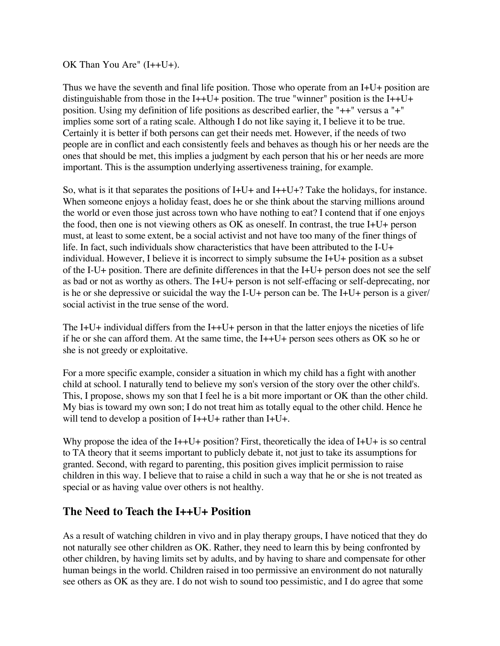#### OK Than You Are" (I++U+).

Thus we have the seventh and final life position. Those who operate from an I+U+ position are distinguishable from those in the  $I++U+$  position. The true "winner" position is the  $I++U+$ position. Using my definition of life positions as described earlier, the "++" versus a "+" implies some sort of a rating scale. Although I do not like saying it, I believe it to be true. Certainly it is better if both persons can get their needs met. However, if the needs of two people are in conflict and each consistently feels and behaves as though his or her needs are the ones that should be met, this implies a judgment by each person that his or her needs are more important. This is the assumption underlying assertiveness training, for example.

So, what is it that separates the positions of  $I+U+$  and  $I+U+$ ? Take the holidays, for instance. When someone enjoys a holiday feast, does he or she think about the starving millions around the world or even those just across town who have nothing to eat? I contend that if one enjoys the food, then one is not viewing others as OK as oneself. In contrast, the true I+U+ person must, at least to some extent, be a social activist and not have too many of the finer things of life. In fact, such individuals show characteristics that have been attributed to the I-U+ individual. However, I believe it is incorrect to simply subsume the I+U+ position as a subset of the I-U+ position. There are definite differences in that the I+U+ person does not see the self as bad or not as worthy as others. The I+U+ person is not self-effacing or self-deprecating, nor is he or she depressive or suicidal the way the I-U+ person can be. The I+U+ person is a giver/ social activist in the true sense of the word.

The I+U+ individual differs from the I++U+ person in that the latter enjoys the niceties of life if he or she can afford them. At the same time, the I++U+ person sees others as OK so he or she is not greedy or exploitative.

For a more specific example, consider a situation in which my child has a fight with another child at school. I naturally tend to believe my son's version of the story over the other child's. This, I propose, shows my son that I feel he is a bit more important or OK than the other child. My bias is toward my own son; I do not treat him as totally equal to the other child. Hence he will tend to develop a position of I++U+ rather than I+U+.

Why propose the idea of the I++U+ position? First, theoretically the idea of I+U+ is so central to TA theory that it seems important to publicly debate it, not just to take its assumptions for granted. Second, with regard to parenting, this position gives implicit permission to raise children in this way. I believe that to raise a child in such a way that he or she is not treated as special or as having value over others is not healthy.

## **The Need to Teach the I++U+ Position**

As a result of watching children in vivo and in play therapy groups, I have noticed that they do not naturally see other children as OK. Rather, they need to learn this by being confronted by other children, by having limits set by adults, and by having to share and compensate for other human beings in the world. Children raised in too permissive an environment do not naturally see others as OK as they are. I do not wish to sound too pessimistic, and I do agree that some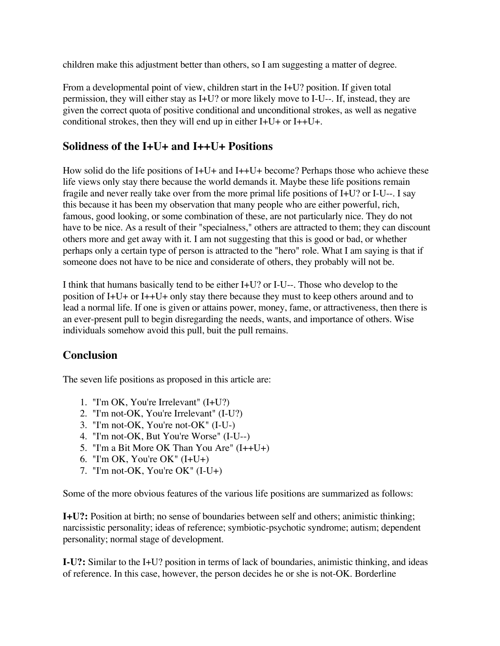children make this adjustment better than others, so I am suggesting a matter of degree.

From a developmental point of view, children start in the I+U? position. If given total permission, they will either stay as I+U? or more likely move to I-U--. If, instead, they are given the correct quota of positive conditional and unconditional strokes, as well as negative conditional strokes, then they will end up in either  $I+U+$  or  $I++U+$ .

## **Solidness of the I+U+ and I++U+ Positions**

How solid do the life positions of I+U+ and I++U+ become? Perhaps those who achieve these life views only stay there because the world demands it. Maybe these life positions remain fragile and never really take over from the more primal life positions of I+U? or I-U--. I say this because it has been my observation that many people who are either powerful, rich, famous, good looking, or some combination of these, are not particularly nice. They do not have to be nice. As a result of their "specialness," others are attracted to them; they can discount others more and get away with it. I am not suggesting that this is good or bad, or whether perhaps only a certain type of person is attracted to the "hero" role. What I am saying is that if someone does not have to be nice and considerate of others, they probably will not be.

I think that humans basically tend to be either I+U? or I-U--. Those who develop to the position of I+U+ or I++U+ only stay there because they must to keep others around and to lead a normal life. If one is given or attains power, money, fame, or attractiveness, then there is an ever-present pull to begin disregarding the needs, wants, and importance of others. Wise individuals somehow avoid this pull, buit the pull remains.

## **Conclusion**

The seven life positions as proposed in this article are:

- 1. "I'm OK, You're Irrelevant" (I+U?)
- 2. "I'm not-OK, You're Irrelevant" (I-U?)
- 3. "I'm not-OK, You're not-OK" (I-U-)
- 4. "I'm not-OK, But You're Worse" (I-U--)
- 5. "I'm a Bit More OK Than You Are" (I++U+)
- 6. "I'm OK, You're OK"  $(I+U+)$
- 7. "I'm not-OK, You're OK" (I-U+)

Some of the more obvious features of the various life positions are summarized as follows:

**I+U?:** Position at birth; no sense of boundaries between self and others; animistic thinking; narcissistic personality; ideas of reference; symbiotic-psychotic syndrome; autism; dependent personality; normal stage of development.

**I-U?:** Similar to the I+U? position in terms of lack of boundaries, animistic thinking, and ideas of reference. In this case, however, the person decides he or she is not-OK. Borderline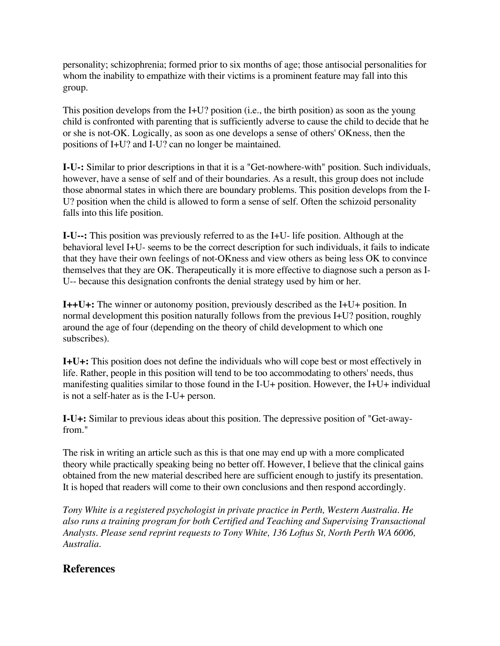personality; schizophrenia; formed prior to six months of age; those antisocial personalities for whom the inability to empathize with their victims is a prominent feature may fall into this group.

This position develops from the I+U? position (i.e., the birth position) as soon as the young child is confronted with parenting that is sufficiently adverse to cause the child to decide that he or she is not-OK. Logically, as soon as one develops a sense of others' OKness, then the positions of I+U? and I-U? can no longer be maintained.

**I-U-:** Similar to prior descriptions in that it is a "Get-nowhere-with" position. Such individuals, however, have a sense of self and of their boundaries. As a result, this group does not include those abnormal states in which there are boundary problems. This position develops from the I-U? position when the child is allowed to form a sense of self. Often the schizoid personality falls into this life position.

**I-U--:** This position was previously referred to as the I+U- life position. Although at the behavioral level I+U- seems to be the correct description for such individuals, it fails to indicate that they have their own feelings of not-OKness and view others as being less OK to convince themselves that they are OK. Therapeutically it is more effective to diagnose such a person as I-U-- because this designation confronts the denial strategy used by him or her.

**I++U+:** The winner or autonomy position, previously described as the I+U+ position. In normal development this position naturally follows from the previous I+U? position, roughly around the age of four (depending on the theory of child development to which one subscribes).

**I+U+:** This position does not define the individuals who will cope best or most effectively in life. Rather, people in this position will tend to be too accommodating to others' needs, thus manifesting qualities similar to those found in the I-U+ position. However, the I+U+ individual is not a self-hater as is the I-U+ person.

**I-U+:** Similar to previous ideas about this position. The depressive position of "Get-awayfrom."

The risk in writing an article such as this is that one may end up with a more complicated theory while practically speaking being no better off. However, I believe that the clinical gains obtained from the new material described here are sufficient enough to justify its presentation. It is hoped that readers will come to their own conclusions and then respond accordingly.

*Tony White is a registered psychologist in private practice in Perth, Western Australia. He also runs a training program for both Certified and Teaching and Supervising Transactional Analysts. Please send reprint requests to Tony White, 136 Loftus St, North Perth WA 6006, Australia.*

## **References**